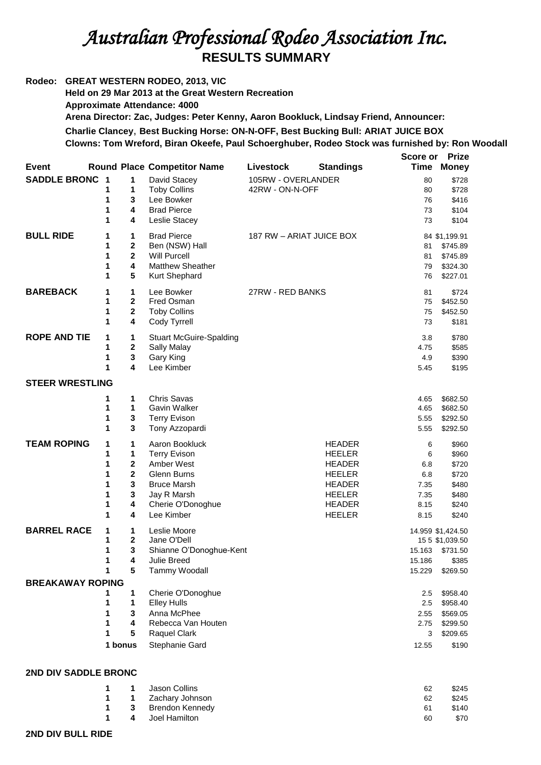## *Australian Professional Rodeo Association Inc.*  **RESULTS SUMMARY**

**Rodeo: GREAT WESTERN RODEO, 2013, VIC Held on 29 Mar 2013 at the Great Western Recreation Approximate Attendance: 4000 Arena Director: Zac, Judges: Peter Kenny, Aaron Bookluck, Lindsay Friend, Announcer: Charlie Clancey**, **Best Bucking Horse: ON-N-OFF, Best Bucking Bull: ARIAT JUICE BOX Clowns: Tom Wreford, Biran Okeefe, Paul Schoerghuber, Rodeo Stock was furnished by: Ron Woodall Score or Prize** 

| <b>Event</b>            |                                      |                                                                      | <b>Round Place Competitor Name</b>                                                                                                                | Livestock                             | <b>Standings</b>                                                                                                                     | Time                                                 | Money                                                                 |
|-------------------------|--------------------------------------|----------------------------------------------------------------------|---------------------------------------------------------------------------------------------------------------------------------------------------|---------------------------------------|--------------------------------------------------------------------------------------------------------------------------------------|------------------------------------------------------|-----------------------------------------------------------------------|
| <b>SADDLE BRONC 1</b>   | 1<br>1<br>1<br>1                     | 1<br>1<br>3<br>4<br>4                                                | David Stacey<br><b>Toby Collins</b><br>Lee Bowker<br><b>Brad Pierce</b><br>Leslie Stacey                                                          | 105RW - OVERLANDER<br>42RW - ON-N-OFF |                                                                                                                                      | 80<br>80<br>76<br>73<br>73                           | \$728<br>\$728<br>\$416<br>\$104<br>\$104                             |
| <b>BULL RIDE</b>        | 1<br>1<br>1<br>1<br>1                | 1<br>2<br>$\overline{2}$<br>4<br>5                                   | <b>Brad Pierce</b><br>Ben (NSW) Hall<br><b>Will Purcell</b><br><b>Matthew Sheather</b><br>Kurt Shephard                                           | 187 RW - ARIAT JUICE BOX              |                                                                                                                                      | 81<br>81<br>79<br>76                                 | 84 \$1,199.91<br>\$745.89<br>\$745.89<br>\$324.30<br>\$227.01         |
| <b>BAREBACK</b>         | 1<br>1<br>1<br>1                     | 1<br>$\overline{2}$<br>2<br>4                                        | Lee Bowker<br>Fred Osman<br><b>Toby Collins</b><br>Cody Tyrrell                                                                                   | 27RW - RED BANKS                      |                                                                                                                                      | 81<br>75<br>75<br>73                                 | \$724<br>\$452.50<br>\$452.50<br>\$181                                |
| <b>ROPE AND TIE</b>     | 1<br>1<br>1<br>1                     | 1<br>2<br>3<br>4                                                     | <b>Stuart McGuire-Spalding</b><br><b>Sally Malay</b><br>Gary King<br>Lee Kimber                                                                   |                                       |                                                                                                                                      | 3.8<br>4.75<br>4.9<br>5.45                           | \$780<br>\$585<br>\$390<br>\$195                                      |
| <b>STEER WRESTLING</b>  |                                      |                                                                      |                                                                                                                                                   |                                       |                                                                                                                                      |                                                      |                                                                       |
|                         | 1<br>1<br>1<br>1                     | 1<br>1<br>3<br>3                                                     | Chris Savas<br>Gavin Walker<br><b>Terry Evison</b><br>Tony Azzopardi                                                                              |                                       |                                                                                                                                      | 4.65<br>4.65<br>5.55<br>5.55                         | \$682.50<br>\$682.50<br>\$292.50<br>\$292.50                          |
| <b>TEAM ROPING</b>      | 1<br>1<br>1<br>1<br>1<br>1<br>1<br>1 | 1<br>1<br>$\overline{\mathbf{2}}$<br>$\mathbf 2$<br>3<br>3<br>4<br>4 | Aaron Bookluck<br><b>Terry Evison</b><br>Amber West<br><b>Glenn Burns</b><br><b>Bruce Marsh</b><br>Jay R Marsh<br>Cherie O'Donoghue<br>Lee Kimber |                                       | <b>HEADER</b><br><b>HEELER</b><br><b>HEADER</b><br><b>HEELER</b><br><b>HEADER</b><br><b>HEELER</b><br><b>HEADER</b><br><b>HEELER</b> | 6<br>6<br>6.8<br>6.8<br>7.35<br>7.35<br>8.15<br>8.15 | \$960<br>\$960<br>\$720<br>\$720<br>\$480<br>\$480<br>\$240<br>\$240  |
| <b>BARREL RACE</b>      | 1<br>1<br>1<br>1<br>1                | 1<br>2<br>3<br>4<br>5                                                | Leslie Moore<br>Jane O'Dell<br>Shianne O'Donoghue-Kent<br><b>Julie Breed</b><br>Tammy Woodall                                                     |                                       |                                                                                                                                      | 15.163<br>15.186<br>15.229                           | 14.959 \$1,424.50<br>15 5 \$1,039.50<br>\$731.50<br>\$385<br>\$269.50 |
| <b>BREAKAWAY ROPING</b> |                                      |                                                                      |                                                                                                                                                   |                                       |                                                                                                                                      |                                                      |                                                                       |
|                         | 1<br>1<br>1<br>1<br>1                | 1<br>1<br>3<br>4<br>5                                                | Cherie O'Donoghue<br><b>Elley Hulls</b><br>Anna McPhee<br>Rebecca Van Houten<br>Raquel Clark                                                      |                                       |                                                                                                                                      | 2.5<br>2.5<br>2.55<br>2.75<br>3                      | \$958.40<br>\$958.40<br>\$569.05<br>\$299.50<br>\$209.65              |
|                         |                                      | 1 bonus                                                              | Stephanie Gard                                                                                                                                    |                                       |                                                                                                                                      | 12.55                                                | \$190                                                                 |

## **2ND DIV SADDLE BRONC**

| $\blacksquare$ | Jason Collins       | 62 | \$245 |
|----------------|---------------------|----|-------|
|                | 1 1 Zachary Johnson | 62 | \$245 |
|                | 1 3 Brendon Kennedy | 61 | \$140 |
|                | 4 Joel Hamilton     | 60 | \$70  |